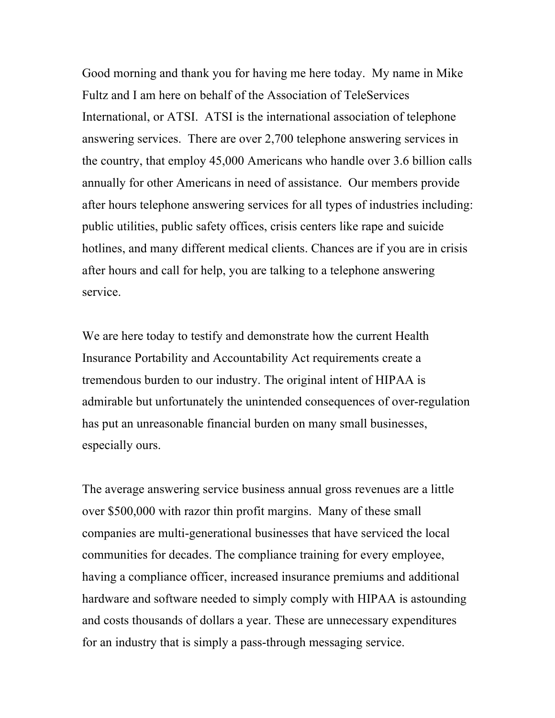Good morning and thank you for having me here today. My name in Mike Fultz and I am here on behalf of the Association of TeleServices International, or ATSI. ATSI is the international association of telephone answering services. There are over 2,700 telephone answering services in the country, that employ 45,000 Americans who handle over 3.6 billion calls annually for other Americans in need of assistance. Our members provide after hours telephone answering services for all types of industries including: public utilities, public safety offices, crisis centers like rape and suicide hotlines, and many different medical clients. Chances are if you are in crisis after hours and call for help, you are talking to a telephone answering service.

We are here today to testify and demonstrate how the current Health Insurance Portability and Accountability Act requirements create a tremendous burden to our industry. The original intent of HIPAA is admirable but unfortunately the unintended consequences of over-regulation has put an unreasonable financial burden on many small businesses, especially ours.

The average answering service business annual gross revenues are a little over \$500,000 with razor thin profit margins. Many of these small companies are multi-generational businesses that have serviced the local communities for decades. The compliance training for every employee, having a compliance officer, increased insurance premiums and additional hardware and software needed to simply comply with HIPAA is astounding and costs thousands of dollars a year. These are unnecessary expenditures for an industry that is simply a pass-through messaging service.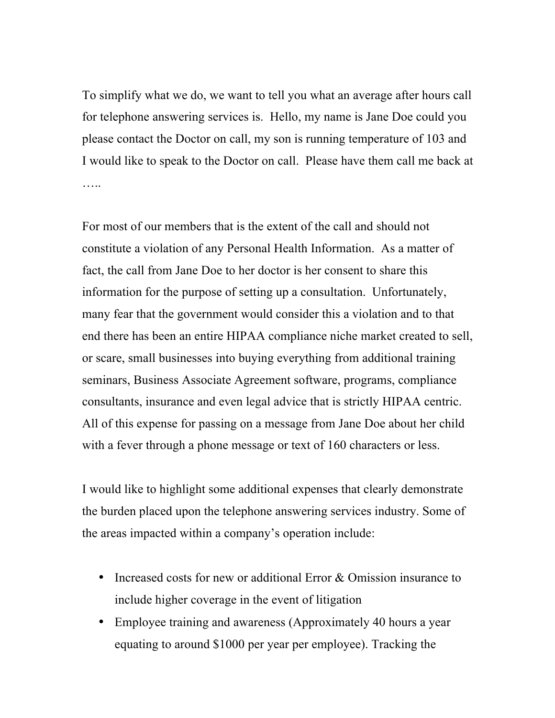To simplify what we do, we want to tell you what an average after hours call for telephone answering services is. Hello, my name is Jane Doe could you please contact the Doctor on call, my son is running temperature of 103 and I would like to speak to the Doctor on call. Please have them call me back at …..

For most of our members that is the extent of the call and should not constitute a violation of any Personal Health Information. As a matter of fact, the call from Jane Doe to her doctor is her consent to share this information for the purpose of setting up a consultation. Unfortunately, many fear that the government would consider this a violation and to that end there has been an entire HIPAA compliance niche market created to sell, or scare, small businesses into buying everything from additional training seminars, Business Associate Agreement software, programs, compliance consultants, insurance and even legal advice that is strictly HIPAA centric. All of this expense for passing on a message from Jane Doe about her child with a fever through a phone message or text of 160 characters or less.

I would like to highlight some additional expenses that clearly demonstrate the burden placed upon the telephone answering services industry. Some of the areas impacted within a company's operation include:

- Increased costs for new or additional Error & Omission insurance to include higher coverage in the event of litigation
- Employee training and awareness (Approximately 40 hours a year equating to around \$1000 per year per employee). Tracking the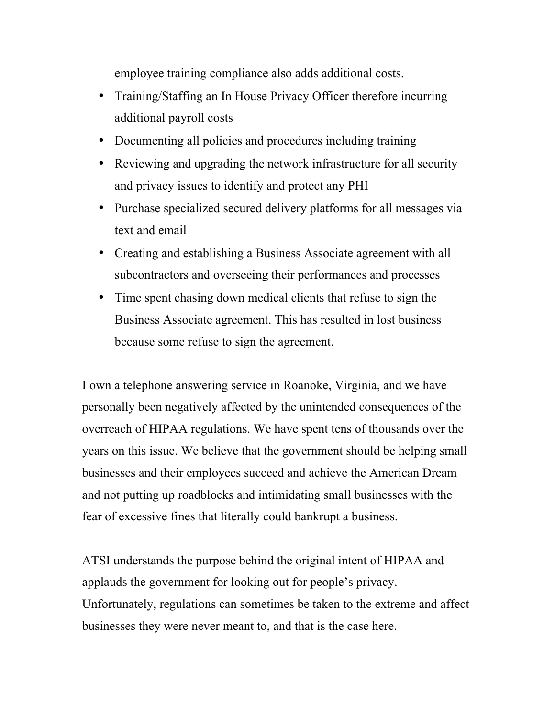employee training compliance also adds additional costs.

- Training/Staffing an In House Privacy Officer therefore incurring additional payroll costs
- Documenting all policies and procedures including training
- Reviewing and upgrading the network infrastructure for all security and privacy issues to identify and protect any PHI
- Purchase specialized secured delivery platforms for all messages via text and email
- Creating and establishing a Business Associate agreement with all subcontractors and overseeing their performances and processes
- Time spent chasing down medical clients that refuse to sign the Business Associate agreement. This has resulted in lost business because some refuse to sign the agreement.

I own a telephone answering service in Roanoke, Virginia, and we have personally been negatively affected by the unintended consequences of the overreach of HIPAA regulations. We have spent tens of thousands over the years on this issue. We believe that the government should be helping small businesses and their employees succeed and achieve the American Dream and not putting up roadblocks and intimidating small businesses with the fear of excessive fines that literally could bankrupt a business.

ATSI understands the purpose behind the original intent of HIPAA and applauds the government for looking out for people's privacy. Unfortunately, regulations can sometimes be taken to the extreme and affect businesses they were never meant to, and that is the case here.